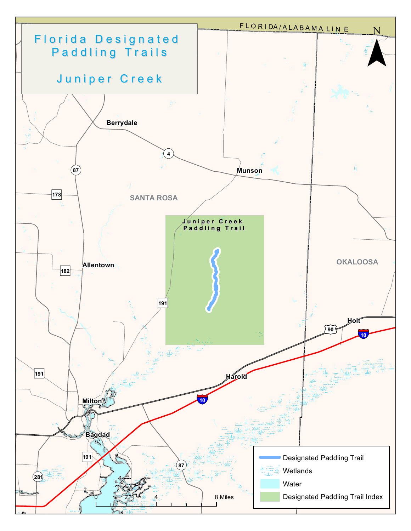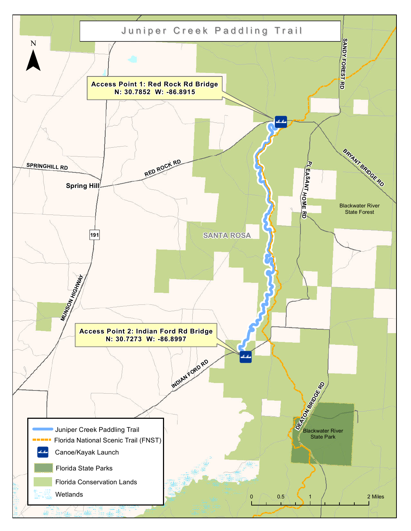